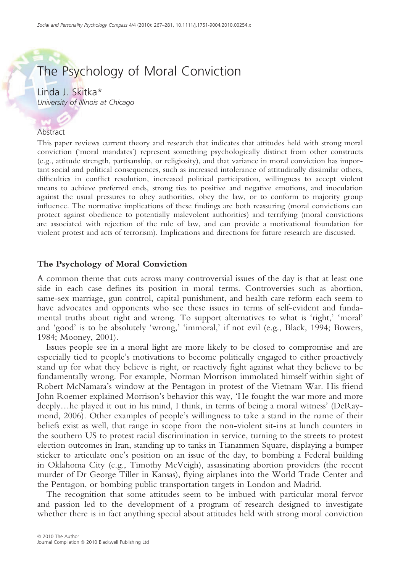# The Psychology of Moral Conviction

Linda J. Skitka\* University of Illinois at Chicago

#### Abstract

This paper reviews current theory and research that indicates that attitudes held with strong moral conviction ('moral mandates') represent something psychologically distinct from other constructs (e.g., attitude strength, partisanship, or religiosity), and that variance in moral conviction has important social and political consequences, such as increased intolerance of attitudinally dissimilar others, difficulties in conflict resolution, increased political participation, willingness to accept violent means to achieve preferred ends, strong ties to positive and negative emotions, and inoculation against the usual pressures to obey authorities, obey the law, or to conform to majority group influence. The normative implications of these findings are both reassuring (moral convictions can protect against obedience to potentially malevolent authorities) and terrifying (moral convictions are associated with rejection of the rule of law, and can provide a motivational foundation for violent protest and acts of terrorism). Implications and directions for future research are discussed.

#### The Psychology of Moral Conviction

A common theme that cuts across many controversial issues of the day is that at least one side in each case defines its position in moral terms. Controversies such as abortion, same-sex marriage, gun control, capital punishment, and health care reform each seem to have advocates and opponents who see these issues in terms of self-evident and fundamental truths about right and wrong. To support alternatives to what is 'right,' 'moral' and 'good' is to be absolutely 'wrong,' 'immoral,' if not evil (e.g., Black, 1994; Bowers, 1984; Mooney, 2001).

Issues people see in a moral light are more likely to be closed to compromise and are especially tied to people's motivations to become politically engaged to either proactively stand up for what they believe is right, or reactively fight against what they believe to be fundamentally wrong. For example, Norman Morrison immolated himself within sight of Robert McNamara's window at the Pentagon in protest of the Vietnam War. His friend John Roemer explained Morrison's behavior this way, 'He fought the war more and more deeply…he played it out in his mind, I think, in terms of being a moral witness' (DeRaymond, 2006). Other examples of people's willingness to take a stand in the name of their beliefs exist as well, that range in scope from the non-violent sit-ins at lunch counters in the southern US to protest racial discrimination in service, turning to the streets to protest election outcomes in Iran, standing up to tanks in Tiananmen Square, displaying a bumper sticker to articulate one's position on an issue of the day, to bombing a Federal building in Oklahoma City (e.g., Timothy McVeigh), assassinating abortion providers (the recent murder of Dr George Tiller in Kansas), flying airplanes into the World Trade Center and the Pentagon, or bombing public transportation targets in London and Madrid.

The recognition that some attitudes seem to be imbued with particular moral fervor and passion led to the development of a program of research designed to investigate whether there is in fact anything special about attitudes held with strong moral conviction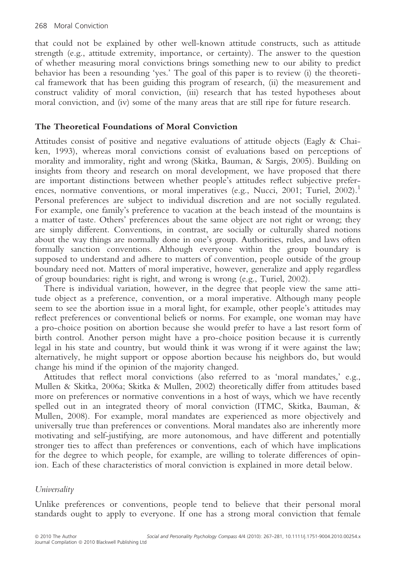that could not be explained by other well-known attitude constructs, such as attitude strength (e.g., attitude extremity, importance, or certainty). The answer to the question of whether measuring moral convictions brings something new to our ability to predict behavior has been a resounding 'yes.' The goal of this paper is to review (i) the theoretical framework that has been guiding this program of research, (ii) the measurement and construct validity of moral conviction, (iii) research that has tested hypotheses about moral conviction, and (iv) some of the many areas that are still ripe for future research.

## The Theoretical Foundations of Moral Conviction

Attitudes consist of positive and negative evaluations of attitude objects (Eagly & Chaiken, 1993), whereas moral convictions consist of evaluations based on perceptions of morality and immorality, right and wrong (Skitka, Bauman, & Sargis, 2005). Building on insights from theory and research on moral development, we have proposed that there are important distinctions between whether people's attitudes reflect subjective preferences, normative conventions, or moral imperatives (e.g., Nucci, 2001; Turiel,  $2002$ ).<sup>1</sup> Personal preferences are subject to individual discretion and are not socially regulated. For example, one family's preference to vacation at the beach instead of the mountains is a matter of taste. Others' preferences about the same object are not right or wrong; they are simply different. Conventions, in contrast, are socially or culturally shared notions about the way things are normally done in one's group. Authorities, rules, and laws often formally sanction conventions. Although everyone within the group boundary is supposed to understand and adhere to matters of convention, people outside of the group boundary need not. Matters of moral imperative, however, generalize and apply regardless of group boundaries: right is right, and wrong is wrong (e.g., Turiel, 2002).

There is individual variation, however, in the degree that people view the same attitude object as a preference, convention, or a moral imperative. Although many people seem to see the abortion issue in a moral light, for example, other people's attitudes may reflect preferences or conventional beliefs or norms. For example, one woman may have a pro-choice position on abortion because she would prefer to have a last resort form of birth control. Another person might have a pro-choice position because it is currently legal in his state and country, but would think it was wrong if it were against the law; alternatively, he might support or oppose abortion because his neighbors do, but would change his mind if the opinion of the majority changed.

Attitudes that reflect moral convictions (also referred to as 'moral mandates,' e.g., Mullen & Skitka, 2006a; Skitka & Mullen, 2002) theoretically differ from attitudes based more on preferences or normative conventions in a host of ways, which we have recently spelled out in an integrated theory of moral conviction (ITMC, Skitka, Bauman, & Mullen, 2008). For example, moral mandates are experienced as more objectively and universally true than preferences or conventions. Moral mandates also are inherently more motivating and self-justifying, are more autonomous, and have different and potentially stronger ties to affect than preferences or conventions, each of which have implications for the degree to which people, for example, are willing to tolerate differences of opinion. Each of these characteristics of moral conviction is explained in more detail below.

# Universality

Unlike preferences or conventions, people tend to believe that their personal moral standards ought to apply to everyone. If one has a strong moral conviction that female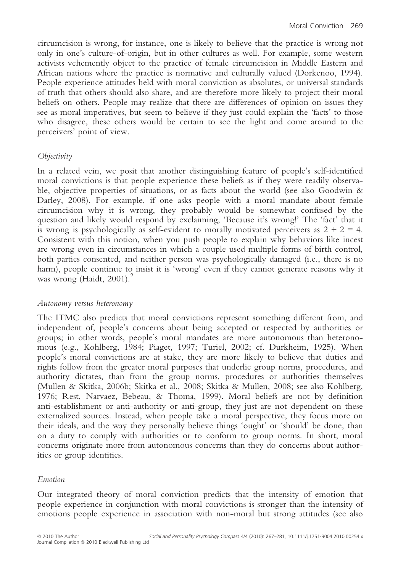circumcision is wrong, for instance, one is likely to believe that the practice is wrong not only in one's culture-of-origin, but in other cultures as well. For example, some western activists vehemently object to the practice of female circumcision in Middle Eastern and African nations where the practice is normative and culturally valued (Dorkenoo, 1994). People experience attitudes held with moral conviction as absolutes, or universal standards of truth that others should also share, and are therefore more likely to project their moral beliefs on others. People may realize that there are differences of opinion on issues they see as moral imperatives, but seem to believe if they just could explain the 'facts' to those who disagree, these others would be certain to see the light and come around to the perceivers' point of view.

## Objectivity

In a related vein, we posit that another distinguishing feature of people's self-identified moral convictions is that people experience these beliefs as if they were readily observable, objective properties of situations, or as facts about the world (see also Goodwin & Darley, 2008). For example, if one asks people with a moral mandate about female circumcision why it is wrong, they probably would be somewhat confused by the question and likely would respond by exclaiming, 'Because it's wrong!' The 'fact' that it is wrong is psychologically as self-evident to morally motivated perceivers as  $2 + 2 = 4$ . Consistent with this notion, when you push people to explain why behaviors like incest are wrong even in circumstances in which a couple used multiple forms of birth control, both parties consented, and neither person was psychologically damaged (i.e., there is no harm), people continue to insist it is 'wrong' even if they cannot generate reasons why it was wrong (Haidt,  $2001$ ).<sup>2</sup>

## Autonomy versus heteronomy

The ITMC also predicts that moral convictions represent something different from, and independent of, people's concerns about being accepted or respected by authorities or groups; in other words, people's moral mandates are more autonomous than heteronomous (e.g., Kohlberg, 1984; Piaget, 1997; Turiel, 2002; cf. Durkheim, 1925). When people's moral convictions are at stake, they are more likely to believe that duties and rights follow from the greater moral purposes that underlie group norms, procedures, and authority dictates, than from the group norms, procedures or authorities themselves (Mullen & Skitka, 2006b; Skitka et al., 2008; Skitka & Mullen, 2008; see also Kohlberg, 1976; Rest, Narvaez, Bebeau, & Thoma, 1999). Moral beliefs are not by definition anti-establishment or anti-authority or anti-group, they just are not dependent on these externalized sources. Instead, when people take a moral perspective, they focus more on their ideals, and the way they personally believe things 'ought' or 'should' be done, than on a duty to comply with authorities or to conform to group norms. In short, moral concerns originate more from autonomous concerns than they do concerns about authorities or group identities.

## Emotion

Our integrated theory of moral conviction predicts that the intensity of emotion that people experience in conjunction with moral convictions is stronger than the intensity of emotions people experience in association with non-moral but strong attitudes (see also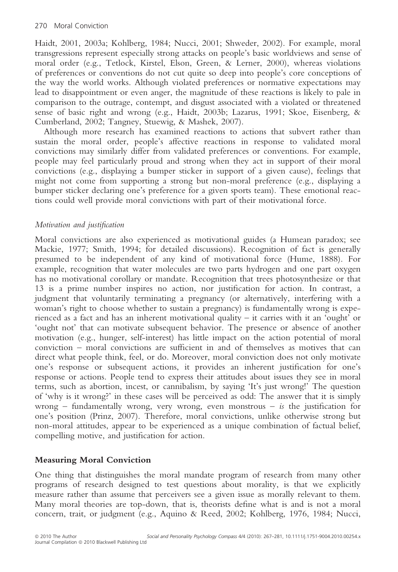Haidt, 2001, 2003a; Kohlberg, 1984; Nucci, 2001; Shweder, 2002). For example, moral transgressions represent especially strong attacks on people's basic worldviews and sense of moral order (e.g., Tetlock, Kirstel, Elson, Green, & Lerner, 2000), whereas violations of preferences or conventions do not cut quite so deep into people's core conceptions of the way the world works. Although violated preferences or normative expectations may lead to disappointment or even anger, the magnitude of these reactions is likely to pale in comparison to the outrage, contempt, and disgust associated with a violated or threatened sense of basic right and wrong (e.g., Haidt, 2003b; Lazarus, 1991; Skoe, Eisenberg, & Cumberland, 2002; Tangney, Stuewig, & Mashek, 2007).

Although more research has examined reactions to actions that subvert rather than sustain the moral order, people's affective reactions in response to validated moral convictions may similarly differ from validated preferences or conventions. For example, people may feel particularly proud and strong when they act in support of their moral convictions (e.g., displaying a bumper sticker in support of a given cause), feelings that might not come from supporting a strong but non-moral preference (e.g., displaying a bumper sticker declaring one's preference for a given sports team). These emotional reactions could well provide moral convictions with part of their motivational force.

## Motivation and justification

Moral convictions are also experienced as motivational guides (a Humean paradox; see Mackie, 1977; Smith, 1994; for detailed discussions). Recognition of fact is generally presumed to be independent of any kind of motivational force (Hume, 1888). For example, recognition that water molecules are two parts hydrogen and one part oxygen has no motivational corollary or mandate. Recognition that trees photosynthesize or that 13 is a prime number inspires no action, nor justification for action. In contrast, a judgment that voluntarily terminating a pregnancy (or alternatively, interfering with a woman's right to choose whether to sustain a pregnancy) is fundamentally wrong is experienced as a fact and has an inherent motivational quality – it carries with it an 'ought' or 'ought not' that can motivate subsequent behavior. The presence or absence of another motivation (e.g., hunger, self-interest) has little impact on the action potential of moral conviction – moral convictions are sufficient in and of themselves as motives that can direct what people think, feel, or do. Moreover, moral conviction does not only motivate one's response or subsequent actions, it provides an inherent justification for one's response or actions. People tend to express their attitudes about issues they see in moral terms, such as abortion, incest, or cannibalism, by saying 'It's just wrong!' The question of 'why is it wrong?' in these cases will be perceived as odd: The answer that it is simply wrong – fundamentally wrong, very wrong, even monstrous – is the justification for one's position (Prinz, 2007). Therefore, moral convictions, unlike otherwise strong but non-moral attitudes, appear to be experienced as a unique combination of factual belief, compelling motive, and justification for action.

# Measuring Moral Conviction

One thing that distinguishes the moral mandate program of research from many other programs of research designed to test questions about morality, is that we explicitly measure rather than assume that perceivers see a given issue as morally relevant to them. Many moral theories are top-down, that is, theorists define what is and is not a moral concern, trait, or judgment (e.g., Aquino & Reed, 2002; Kohlberg, 1976, 1984; Nucci,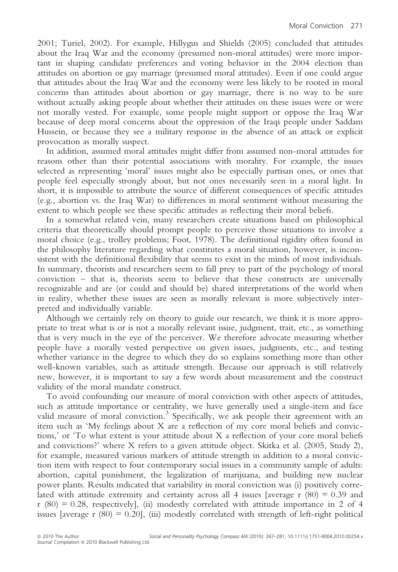2001; Turiel, 2002). For example, Hillygus and Shields (2005) concluded that attitudes about the Iraq War and the economy (presumed non-moral attitudes) were more important in shaping candidate preferences and voting behavior in the 2004 election than attitudes on abortion or gay marriage (presumed moral attitudes). Even if one could argue that attitudes about the Iraq War and the economy were less likely to be rooted in moral concerns than attitudes about abortion or gay marriage, there is no way to be sure without actually asking people about whether their attitudes on these issues were or were not morally vested. For example, some people might support or oppose the Iraq War because of deep moral concerns about the oppression of the Iraqi people under Saddam Hussein, or because they see a military response in the absence of an attack or explicit provocation as morally suspect.

In addition, assumed moral attitudes might differ from assumed non-moral attitudes for reasons other than their potential associations with morality. For example, the issues selected as representing 'moral' issues might also be especially partisan ones, or ones that people feel especially strongly about, but not ones necessarily seen in a moral light. In short, it is impossible to attribute the source of different consequences of specific attitudes (e.g., abortion vs. the Iraq War) to differences in moral sentiment without measuring the extent to which people see these specific attitudes as reflecting their moral beliefs.

In a somewhat related vein, many researchers create situations based on philosophical criteria that theoretically should prompt people to perceive those situations to involve a moral choice (e.g., trolley problems; Foot, 1978). The definitional rigidity often found in the philosophy literature regarding what constitutes a moral situation, however, is inconsistent with the definitional flexibility that seems to exist in the minds of most individuals. In summary, theorists and researchers seem to fall prey to part of the psychology of moral conviction – that is, theorists seem to believe that these constructs are universally recognizable and are (or could and should be) shared interpretations of the world when in reality, whether these issues are seen as morally relevant is more subjectively interpreted and individually variable.

Although we certainly rely on theory to guide our research, we think it is more appropriate to treat what is or is not a morally relevant issue, judgment, trait, etc., as something that is very much in the eye of the perceiver. We therefore advocate measuring whether people have a morally vested perspective on given issues, judgments, etc., and testing whether variance in the degree to which they do so explains something more than other well-known variables, such as attitude strength. Because our approach is still relatively new, however, it is important to say a few words about measurement and the construct validity of the moral mandate construct.

To avoid confounding our measure of moral conviction with other aspects of attitudes, such as attitude importance or centrality, we have generally used a single-item and face valid measure of moral conviction.<sup>3</sup> Specifically, we ask people their agreement with an item such as 'My feelings about X are a reflection of my core moral beliefs and convictions,' or 'To what extent is your attitude about X a reflection of your core moral beliefs and convictions?' where X refers to a given attitude object. Skitka et al. (2005, Study 2), for example, measured various markers of attitude strength in addition to a moral conviction item with respect to four contemporary social issues in a community sample of adults: abortion, capital punishment, the legalization of marijuana, and building new nuclear power plants. Results indicated that variability in moral conviction was (i) positively correlated with attitude extremity and certainty across all 4 issues [average r  $(80) = 0.39$  and  $r (80) = 0.28$ , respectively], (ii) modestly correlated with attitude importance in 2 of 4 issues [average r  $(80) = 0.20$ ], (iii) modestly correlated with strength of left-right political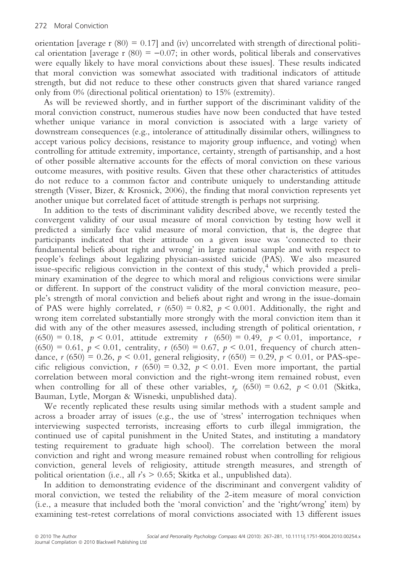orientation [average r  $(80) = 0.17$ ] and (iv) uncorrelated with strength of directional political orientation [average r  $(80) = -0.07$ ; in other words, political liberals and conservatives were equally likely to have moral convictions about these issues]. These results indicated that moral conviction was somewhat associated with traditional indicators of attitude strength, but did not reduce to these other constructs given that shared variance ranged only from 0% (directional political orientation) to 15% (extremity).

As will be reviewed shortly, and in further support of the discriminant validity of the moral conviction construct, numerous studies have now been conducted that have tested whether unique variance in moral conviction is associated with a large variety of downstream consequences (e.g., intolerance of attitudinally dissimilar others, willingness to accept various policy decisions, resistance to majority group influence, and voting) when controlling for attitude extremity, importance, certainty, strength of partisanship, and a host of other possible alternative accounts for the effects of moral conviction on these various outcome measures, with positive results. Given that these other characteristics of attitudes do not reduce to a common factor and contribute uniquely to understanding attitude strength (Visser, Bizer, & Krosnick, 2006), the finding that moral conviction represents yet another unique but correlated facet of attitude strength is perhaps not surprising.

In addition to the tests of discriminant validity described above, we recently tested the convergent validity of our usual measure of moral conviction by testing how well it predicted a similarly face valid measure of moral conviction, that is, the degree that participants indicated that their attitude on a given issue was 'connected to their fundamental beliefs about right and wrong' in large national sample and with respect to people's feelings about legalizing physician-assisted suicide (PAS). We also measured issue-specific religious conviction in the context of this study, $4$  which provided a preliminary examination of the degree to which moral and religious convictions were similar or different. In support of the construct validity of the moral conviction measure, people's strength of moral conviction and beliefs about right and wrong in the issue-domain of PAS were highly correlated,  $r(650) = 0.82$ ,  $p < 0.001$ . Additionally, the right and wrong item correlated substantially more strongly with the moral conviction item than it did with any of the other measures assessed, including strength of political orientation, r (650) = 0.18, p < 0.01, attitude extremity r (650) = 0.49, p < 0.01, importance, r (650) = 0.61,  $p < 0.01$ , centrality,  $r (650) = 0.67$ ,  $p < 0.01$ , frequency of church attendance,  $r$  (650) = 0.26,  $p$  < 0.01, general religiosity,  $r$  (650) = 0.29,  $p$  < 0.01, or PAS-specific religious conviction,  $r(650) = 0.32$ ,  $p < 0.01$ . Even more important, the partial correlation between moral conviction and the right-wrong item remained robust, even when controlling for all of these other variables,  $r_p (650) = 0.62$ ,  $p < 0.01$  (Skitka, Bauman, Lytle, Morgan & Wisneski, unpublished data).

We recently replicated these results using similar methods with a student sample and across a broader array of issues (e.g., the use of 'stress' interrogation techniques when interviewing suspected terrorists, increasing efforts to curb illegal immigration, the continued use of capital punishment in the United States, and instituting a mandatory testing requirement to graduate high school). The correlation between the moral conviction and right and wrong measure remained robust when controlling for religious conviction, general levels of religiosity, attitude strength measures, and strength of political orientation (i.e., all  $r_s > 0.65$ ; Skitka et al., unpublished data).

In addition to demonstrating evidence of the discriminant and convergent validity of moral conviction, we tested the reliability of the 2-item measure of moral conviction (i.e., a measure that included both the 'moral conviction' and the 'right⁄wrong' item) by examining test-retest correlations of moral convictions associated with 13 different issues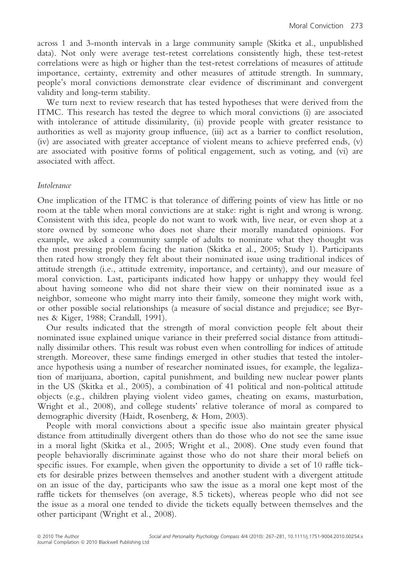across 1 and 3-month intervals in a large community sample (Skitka et al., unpublished data). Not only were average test-retest correlations consistently high, these test-retest correlations were as high or higher than the test-retest correlations of measures of attitude importance, certainty, extremity and other measures of attitude strength. In summary, people's moral convictions demonstrate clear evidence of discriminant and convergent validity and long-term stability.

We turn next to review research that has tested hypotheses that were derived from the ITMC. This research has tested the degree to which moral convictions (i) are associated with intolerance of attitude dissimilarity, (ii) provide people with greater resistance to authorities as well as majority group influence, (iii) act as a barrier to conflict resolution, (iv) are associated with greater acceptance of violent means to achieve preferred ends, (v) are associated with positive forms of political engagement, such as voting, and (vi) are associated with affect.

## Intolerance

One implication of the ITMC is that tolerance of differing points of view has little or no room at the table when moral convictions are at stake: right is right and wrong is wrong. Consistent with this idea, people do not want to work with, live near, or even shop at a store owned by someone who does not share their morally mandated opinions. For example, we asked a community sample of adults to nominate what they thought was the most pressing problem facing the nation (Skitka et al., 2005; Study 1). Participants then rated how strongly they felt about their nominated issue using traditional indices of attitude strength (i.e., attitude extremity, importance, and certainty), and our measure of moral conviction. Last, participants indicated how happy or unhappy they would feel about having someone who did not share their view on their nominated issue as a neighbor, someone who might marry into their family, someone they might work with, or other possible social relationships (a measure of social distance and prejudice; see Byrnes & Kiger, 1988; Crandall, 1991).

Our results indicated that the strength of moral conviction people felt about their nominated issue explained unique variance in their preferred social distance from attitudinally dissimilar others. This result was robust even when controlling for indices of attitude strength. Moreover, these same findings emerged in other studies that tested the intolerance hypothesis using a number of researcher nominated issues, for example, the legalization of marijuana, abortion, capital punishment, and building new nuclear power plants in the US (Skitka et al., 2005), a combination of 41 political and non-political attitude objects (e.g., children playing violent video games, cheating on exams, masturbation, Wright et al., 2008), and college students' relative tolerance of moral as compared to demographic diversity (Haidt, Rosenberg, & Hom, 2003).

People with moral convictions about a specific issue also maintain greater physical distance from attitudinally divergent others than do those who do not see the same issue in a moral light (Skitka et al., 2005; Wright et al., 2008). One study even found that people behaviorally discriminate against those who do not share their moral beliefs on specific issues. For example, when given the opportunity to divide a set of 10 raffle tickets for desirable prizes between themselves and another student with a divergent attitude on an issue of the day, participants who saw the issue as a moral one kept most of the raffle tickets for themselves (on average, 8.5 tickets), whereas people who did not see the issue as a moral one tended to divide the tickets equally between themselves and the other participant (Wright et al., 2008).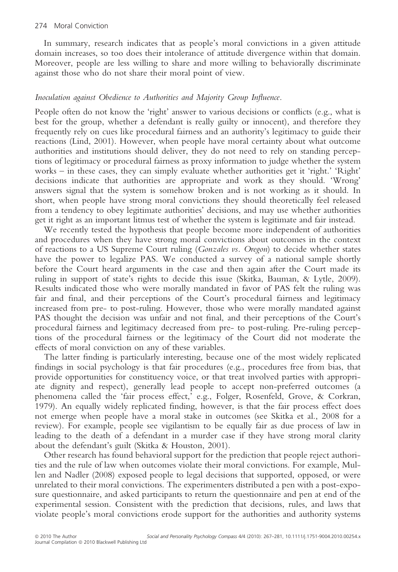#### 274 Moral Conviction

In summary, research indicates that as people's moral convictions in a given attitude domain increases, so too does their intolerance of attitude divergence within that domain. Moreover, people are less willing to share and more willing to behaviorally discriminate against those who do not share their moral point of view.

## Inoculation against Obedience to Authorities and Majority Group Influence.

People often do not know the 'right' answer to various decisions or conflicts (e.g., what is best for the group, whether a defendant is really guilty or innocent), and therefore they frequently rely on cues like procedural fairness and an authority's legitimacy to guide their reactions (Lind, 2001). However, when people have moral certainty about what outcome authorities and institutions should deliver, they do not need to rely on standing perceptions of legitimacy or procedural fairness as proxy information to judge whether the system works – in these cases, they can simply evaluate whether authorities get it 'right.' 'Right' decisions indicate that authorities are appropriate and work as they should. 'Wrong' answers signal that the system is somehow broken and is not working as it should. In short, when people have strong moral convictions they should theoretically feel released from a tendency to obey legitimate authorities' decisions, and may use whether authorities get it right as an important litmus test of whether the system is legitimate and fair instead.

We recently tested the hypothesis that people become more independent of authorities and procedures when they have strong moral convictions about outcomes in the context of reactions to a US Supreme Court ruling (Gonzales vs. Oregon) to decide whether states have the power to legalize PAS. We conducted a survey of a national sample shortly before the Court heard arguments in the case and then again after the Court made its ruling in support of state's rights to decide this issue (Skitka, Bauman, & Lytle, 2009). Results indicated those who were morally mandated in favor of PAS felt the ruling was fair and final, and their perceptions of the Court's procedural fairness and legitimacy increased from pre- to post-ruling. However, those who were morally mandated against PAS thought the decision was unfair and not final, and their perceptions of the Court's procedural fairness and legitimacy decreased from pre- to post-ruling. Pre-ruling perceptions of the procedural fairness or the legitimacy of the Court did not moderate the effects of moral conviction on any of these variables.

The latter finding is particularly interesting, because one of the most widely replicated findings in social psychology is that fair procedures (e.g., procedures free from bias, that provide opportunities for constituency voice, or that treat involved parties with appropriate dignity and respect), generally lead people to accept non-preferred outcomes (a phenomena called the 'fair process effect,' e.g., Folger, Rosenfeld, Grove, & Corkran, 1979). An equally widely replicated finding, however, is that the fair process effect does not emerge when people have a moral stake in outcomes (see Skitka et al., 2008 for a review). For example, people see vigilantism to be equally fair as due process of law in leading to the death of a defendant in a murder case if they have strong moral clarity about the defendant's guilt (Skitka & Houston, 2001).

Other research has found behavioral support for the prediction that people reject authorities and the rule of law when outcomes violate their moral convictions. For example, Mullen and Nadler (2008) exposed people to legal decisions that supported, opposed, or were unrelated to their moral convictions. The experimenters distributed a pen with a post-exposure questionnaire, and asked participants to return the questionnaire and pen at end of the experimental session. Consistent with the prediction that decisions, rules, and laws that violate people's moral convictions erode support for the authorities and authority systems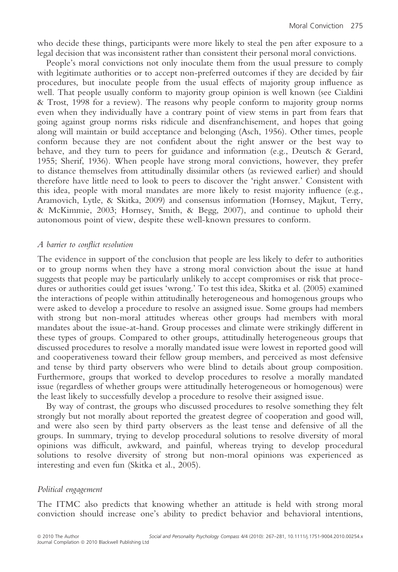who decide these things, participants were more likely to steal the pen after exposure to a legal decision that was inconsistent rather than consistent their personal moral convictions.

People's moral convictions not only inoculate them from the usual pressure to comply with legitimate authorities or to accept non-preferred outcomes if they are decided by fair procedures, but inoculate people from the usual effects of majority group influence as well. That people usually conform to majority group opinion is well known (see Cialdini & Trost, 1998 for a review). The reasons why people conform to majority group norms even when they individually have a contrary point of view stems in part from fears that going against group norms risks ridicule and disenfranchisement, and hopes that going along will maintain or build acceptance and belonging (Asch, 1956). Other times, people conform because they are not confident about the right answer or the best way to behave, and they turn to peers for guidance and information (e.g., Deutsch & Gerard, 1955; Sherif, 1936). When people have strong moral convictions, however, they prefer to distance themselves from attitudinally dissimilar others (as reviewed earlier) and should therefore have little need to look to peers to discover the 'right answer.' Consistent with this idea, people with moral mandates are more likely to resist majority influence (e.g., Aramovich, Lytle, & Skitka, 2009) and consensus information (Hornsey, Majkut, Terry, & McKimmie, 2003; Hornsey, Smith, & Begg, 2007), and continue to uphold their autonomous point of view, despite these well-known pressures to conform.

#### A barrier to conflict resolution

The evidence in support of the conclusion that people are less likely to defer to authorities or to group norms when they have a strong moral conviction about the issue at hand suggests that people may be particularly unlikely to accept compromises or risk that procedures or authorities could get issues 'wrong.' To test this idea, Skitka et al. (2005) examined the interactions of people within attitudinally heterogeneous and homogenous groups who were asked to develop a procedure to resolve an assigned issue. Some groups had members with strong but non-moral attitudes whereas other groups had members with moral mandates about the issue-at-hand. Group processes and climate were strikingly different in these types of groups. Compared to other groups, attitudinally heterogeneous groups that discussed procedures to resolve a morally mandated issue were lowest in reported good will and cooperativeness toward their fellow group members, and perceived as most defensive and tense by third party observers who were blind to details about group composition. Furthermore, groups that worked to develop procedures to resolve a morally mandated issue (regardless of whether groups were attitudinally heterogeneous or homogenous) were the least likely to successfully develop a procedure to resolve their assigned issue.

By way of contrast, the groups who discussed procedures to resolve something they felt strongly but not morally about reported the greatest degree of cooperation and good will, and were also seen by third party observers as the least tense and defensive of all the groups. In summary, trying to develop procedural solutions to resolve diversity of moral opinions was difficult, awkward, and painful, whereas trying to develop procedural solutions to resolve diversity of strong but non-moral opinions was experienced as interesting and even fun (Skitka et al., 2005).

#### Political engagement

The ITMC also predicts that knowing whether an attitude is held with strong moral conviction should increase one's ability to predict behavior and behavioral intentions,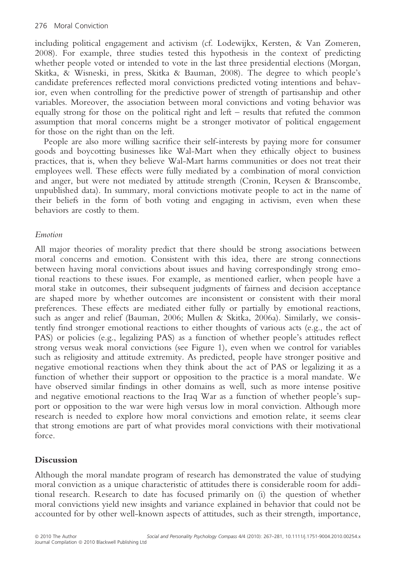including political engagement and activism (cf. Lodewijkx, Kersten, & Van Zomeren, 2008). For example, three studies tested this hypothesis in the context of predicting whether people voted or intended to vote in the last three presidential elections (Morgan, Skitka, & Wisneski, in press, Skitka & Bauman, 2008). The degree to which people's candidate preferences reflected moral convictions predicted voting intentions and behavior, even when controlling for the predictive power of strength of partisanship and other variables. Moreover, the association between moral convictions and voting behavior was equally strong for those on the political right and left – results that refuted the common assumption that moral concerns might be a stronger motivator of political engagement for those on the right than on the left.

People are also more willing sacrifice their self-interests by paying more for consumer goods and boycotting businesses like Wal-Mart when they ethically object to business practices, that is, when they believe Wal-Mart harms communities or does not treat their employees well. These effects were fully mediated by a combination of moral conviction and anger, but were not mediated by attitude strength (Cronin, Reysen & Branscombe, unpublished data). In summary, moral convictions motivate people to act in the name of their beliefs in the form of both voting and engaging in activism, even when these behaviors are costly to them.

## Emotion

All major theories of morality predict that there should be strong associations between moral concerns and emotion. Consistent with this idea, there are strong connections between having moral convictions about issues and having correspondingly strong emotional reactions to these issues. For example, as mentioned earlier, when people have a moral stake in outcomes, their subsequent judgments of fairness and decision acceptance are shaped more by whether outcomes are inconsistent or consistent with their moral preferences. These effects are mediated either fully or partially by emotional reactions, such as anger and relief (Bauman, 2006; Mullen & Skitka, 2006a). Similarly, we consistently find stronger emotional reactions to either thoughts of various acts (e.g., the act of PAS) or policies (e.g., legalizing PAS) as a function of whether people's attitudes reflect strong versus weak moral convictions (see Figure 1), even when we control for variables such as religiosity and attitude extremity. As predicted, people have stronger positive and negative emotional reactions when they think about the act of PAS or legalizing it as a function of whether their support or opposition to the practice is a moral mandate. We have observed similar findings in other domains as well, such as more intense positive and negative emotional reactions to the Iraq War as a function of whether people's support or opposition to the war were high versus low in moral conviction. Although more research is needed to explore how moral convictions and emotion relate, it seems clear that strong emotions are part of what provides moral convictions with their motivational force.

# Discussion

Although the moral mandate program of research has demonstrated the value of studying moral conviction as a unique characteristic of attitudes there is considerable room for additional research. Research to date has focused primarily on (i) the question of whether moral convictions yield new insights and variance explained in behavior that could not be accounted for by other well-known aspects of attitudes, such as their strength, importance,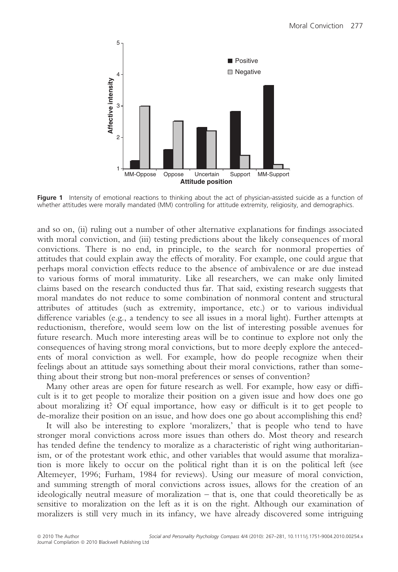

Figure 1 Intensity of emotional reactions to thinking about the act of physician-assisted suicide as a function of whether attitudes were morally mandated (MM) controlling for attitude extremity, religiosity, and demographics.

and so on, (ii) ruling out a number of other alternative explanations for findings associated with moral conviction, and (iii) testing predictions about the likely consequences of moral convictions. There is no end, in principle, to the search for nonmoral properties of attitudes that could explain away the effects of morality. For example, one could argue that perhaps moral conviction effects reduce to the absence of ambivalence or are due instead to various forms of moral immaturity. Like all researchers, we can make only limited claims based on the research conducted thus far. That said, existing research suggests that moral mandates do not reduce to some combination of nonmoral content and structural attributes of attitudes (such as extremity, importance, etc.) or to various individual difference variables (e.g., a tendency to see all issues in a moral light). Further attempts at reductionism, therefore, would seem low on the list of interesting possible avenues for future research. Much more interesting areas will be to continue to explore not only the consequences of having strong moral convictions, but to more deeply explore the antecedents of moral conviction as well. For example, how do people recognize when their feelings about an attitude says something about their moral convictions, rather than something about their strong but non-moral preferences or senses of convention?

Many other areas are open for future research as well. For example, how easy or difficult is it to get people to moralize their position on a given issue and how does one go about moralizing it? Of equal importance, how easy or difficult is it to get people to de-moralize their position on an issue, and how does one go about accomplishing this end?

It will also be interesting to explore 'moralizers,' that is people who tend to have stronger moral convictions across more issues than others do. Most theory and research has tended define the tendency to moralize as a characteristic of right wing authoritarianism, or of the protestant work ethic, and other variables that would assume that moralization is more likely to occur on the political right than it is on the political left (see Altemeyer, 1996; Furham, 1984 for reviews). Using our measure of moral conviction, and summing strength of moral convictions across issues, allows for the creation of an ideologically neutral measure of moralization – that is, one that could theoretically be as sensitive to moralization on the left as it is on the right. Although our examination of moralizers is still very much in its infancy, we have already discovered some intriguing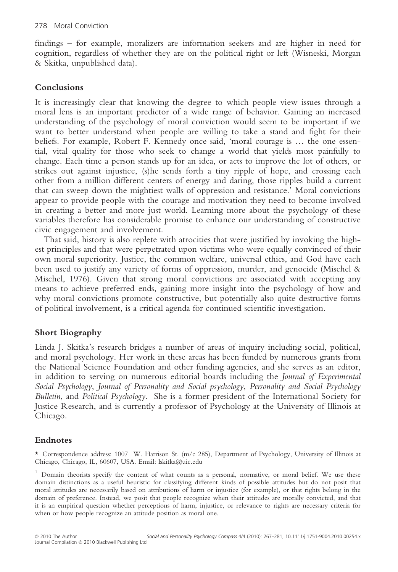findings – for example, moralizers are information seekers and are higher in need for cognition, regardless of whether they are on the political right or left (Wisneski, Morgan & Skitka, unpublished data).

# Conclusions

It is increasingly clear that knowing the degree to which people view issues through a moral lens is an important predictor of a wide range of behavior. Gaining an increased understanding of the psychology of moral conviction would seem to be important if we want to better understand when people are willing to take a stand and fight for their beliefs. For example, Robert F. Kennedy once said, 'moral courage is … the one essential, vital quality for those who seek to change a world that yields most painfully to change. Each time a person stands up for an idea, or acts to improve the lot of others, or strikes out against injustice, (s)he sends forth a tiny ripple of hope, and crossing each other from a million different centers of energy and daring, those ripples build a current that can sweep down the mightiest walls of oppression and resistance.' Moral convictions appear to provide people with the courage and motivation they need to become involved in creating a better and more just world. Learning more about the psychology of these variables therefore has considerable promise to enhance our understanding of constructive civic engagement and involvement.

That said, history is also replete with atrocities that were justified by invoking the highest principles and that were perpetrated upon victims who were equally convinced of their own moral superiority. Justice, the common welfare, universal ethics, and God have each been used to justify any variety of forms of oppression, murder, and genocide (Mischel & Mischel, 1976). Given that strong moral convictions are associated with accepting any means to achieve preferred ends, gaining more insight into the psychology of how and why moral convictions promote constructive, but potentially also quite destructive forms of political involvement, is a critical agenda for continued scientific investigation.

# Short Biography

Linda J. Skitka's research bridges a number of areas of inquiry including social, political, and moral psychology. Her work in these areas has been funded by numerous grants from the National Science Foundation and other funding agencies, and she serves as an editor, in addition to serving on numerous editorial boards including the Journal of Experimental Social Psychology, Journal of Personality and Social psychology, Personality and Social Psychology Bulletin, and Political Psychology. She is a former president of the International Society for Justice Research, and is currently a professor of Psychology at the University of Illinois at Chicago.

# Endnotes

\* Correspondence address: 1007 W. Harrison St. (m/c 285), Department of Psychology, University of Illinois at Chicago, Chicago, IL, 60607, USA. Email: lskitka@uic.edu

<sup>1</sup> Domain theorists specify the content of what counts as a personal, normative, or moral belief. We use these domain distinctions as a useful heuristic for classifying different kinds of possible attitudes but do not posit that moral attitudes are necessarily based on attributions of harm or injustice (for example), or that rights belong in the domain of preference. Instead, we posit that people recognize when their attitudes are morally convicted, and that it is an empirical question whether perceptions of harm, injustice, or relevance to rights are necessary criteria for when or how people recognize an attitude position as moral one.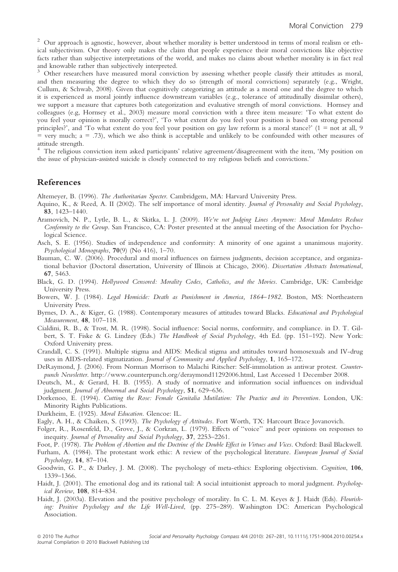$2$  Our approach is agnostic, however, about whether morality is better understood in terms of moral realism or ethical subjectivism. Our theory only makes the claim that people experience their moral convictions like objective facts rather than subjective interpretations of the world, and makes no claims about whether morality is in fact real and knowable rather than subjectively interpreted.

Other researchers have measured moral conviction by assessing whether people classify their attitudes as moral, and then measuring the degree to which they do so (strength of moral convictions) separately (e.g., Wright, Cullum, & Schwab, 2008). Given that cognitively categorizing an attitude as a moral one and the degree to which it is experienced as moral jointly influence downstream variables (e.g., tolerance of attitudinally dissimilar others), we support a measure that captures both categorization and evaluative strength of moral convictions. Hornsey and colleagues (e.g, Hornsey et al., 2003) measure moral conviction with a three item measure: 'To what extent do you feel your opinion is morally correct?', 'To what extent do you feel your position is based on strong personal principles?', and 'To what extent do you feel your position on gay law reform is a moral stance?' (1 = not at all, 9  $=$  very much; a  $=$  .73), which we also think is acceptable and unlikely to be confounded with other measures of attitude strength.

<sup>4</sup> The religious conviction item asked participants' relative agreement ⁄ disagreement with the item, 'My position on the issue of physician-assisted suicide is closely connected to my religious beliefs and convictions.'

## References

Altemeyer, B. (1996). The Authoritarian Specter. Cambridgem, MA: Harvard University Press.

- Aquino, K., & Reed, A. II (2002). The self importance of moral identity. Journal of Personality and Social Psychology, 83, 1423–1440.
- Aramovich, N. P., Lytle, B. L., & Skitka, L. J. (2009). We're not Judging Lines Anymore: Moral Mandates Reduce Conformity to the Group. San Francisco, CA: Poster presented at the annual meeting of the Association for Psychological Science.
- Asch, S. E. (1956). Studies of independence and conformity: A minority of one against a unanimous majority. Psychological Monographs, 70(9) (No 416), 1–70.
- Bauman, C. W. (2006). Procedural and moral influences on fairness judgments, decision acceptance, and organizational behavior (Doctoral dissertation, University of Illinois at Chicago, 2006). Dissertation Abstracts International, 67, 5463.
- Black, G. D. (1994). Hollywood Censored: Morality Codes, Catholics, and the Movies. Cambridge, UK: Cambridge University Press.
- Bowers, W. J. (1984). Legal Homicide: Death as Punishment in America, 1864–1982. Boston, MS: Northeastern University Press.
- Byrnes, D. A., & Kiger, G. (1988). Contemporary measures of attitudes toward Blacks. Educational and Psychological Measurement, 48, 107–118.
- Cialdini, R. B., & Trost, M. R. (1998). Social influence: Social norms, conformity, and compliance. in D. T. Gilbert, S. T. Fiske & G. Lindzey (Eds.) The Handbook of Social Psychology, 4th Ed. (pp. 151–192). New York: Oxford University press.
- Crandall, C. S. (1991). Multiple stigma and AIDS: Medical stigma and attitudes toward homosexuals and IV-drug uses in AIDS-related stigmatization. Journal of Community and Applied Psychology, 1, 165-172.
- DeRaymond, J. (2006). From Norman Morrison to Malachi Ritscher: Self-immolation as antiwar protest. Counterpunch Newsletter. http://www.counterpunch.org/deraymond11292006.html, Last Accessed 1 December 2008.
- Deutsch, M., & Gerard, H. B. (1955). A study of normative and information social influences on individual judgment. Journal of Abnormal and Social Psychology, 51, 629–636.
- Dorkenoo, E. (1994). Cutting the Rose: Female Genitalia Mutilation: The Practice and its Prevention. London, UK: Minority Rights Publications.
- Durkheim, E. (1925). Moral Education. Glencoe: IL.
- Eagly, A. H., & Chaiken, S. (1993). The Psychology of Attitudes. Fort Worth, TX: Harcourt Brace Jovanovich.
- Folger, R., Rosenfeld, D., Grove, J., & Corkran, L. (1979). Effects of ''voice'' and peer opinions on responses to inequity. Journal of Personality and Social Psychology, 37, 2253–2261.

Foot, P. (1978). The Problem of Abortion and the Doctrine of the Double Effect in Virtues and Vices. Oxford: Basil Blackwell.

Furham, A. (1984). The protestant work ethic: A review of the psychological literature. European Journal of Social Psychology, 14, 87–104.

- Goodwin, G. P., & Darley, J. M. (2008). The psychology of meta-ethics: Exploring objectivism. Cognition, 106, 1339–1366.
- Haidt, J. (2001). The emotional dog and its rational tail: A social intuitionist approach to moral judgment. Psychological Review, 108, 814–834.
- Haidt, J. (2003a). Elevation and the positive psychology of morality. In C. L. M. Keyes & J. Haidt (Eds). Flourishing: Positive Psychology and the Life Well-Lived, (pp. 275–289). Washington DC: American Psychological Association.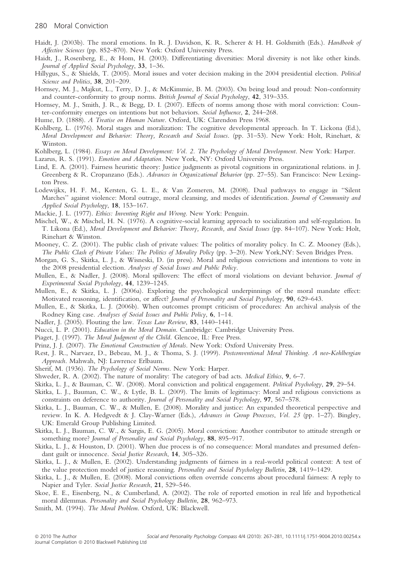- Haidt, J. (2003b). The moral emotions. In R. J. Davidson, K. R. Scherer & H. H. Goldsmith (Eds.). Handbook of Affective Sciences (pp. 852-870). New York: Oxford University Press.
- Haidt, J., Rosenberg, E., & Hom, H. (2003). Differentiating diversities: Moral diversity is not like other kinds. Journal of Applied Social Psychology, 33, 1–36.
- Hillygus, S., & Shields, T. (2005). Moral issues and voter decision making in the 2004 presidential election. Political Science and Politics, 38, 201-209.
- Hornsey, M. J., Majkut, L., Terry, D. J., & McKimmie, B. M. (2003). On being loud and proud: Non-conformity and counter-conformity to group norms. British Journal of Social Psychology, 42, 319–335.
- Hornsey, M. J., Smith, J. R., & Begg, D. I. (2007). Effects of norms among those with moral conviction: Counter-conformity emerges on intentions but not behaviors. Social Influence, 2, 244–268.
- Hume, D. (1888). A Treatise on Human Nature. Oxford, UK: Clarendon Press 1968.
- Kohlberg, L. (1976). Moral stages and moralization: The cognitive developmental approach. In T. Lickona (Ed.), Moral Development and Behavior: Theory, Research and Social Issues. (pp. 31–53). New York: Holt, Rinehart, & Winston.
- Kohlberg, L. (1984). Essays on Moral Development: Vol. 2. The Psychology of Moral Development. New York: Harper.

Lazarus, R. S. (1991). Emotion and Adaptation. New York, NY: Oxford University Press.

- Lind, E. A. (2001). Fairness heuristic theory: Justice judgments as pivotal cognitions in organizational relations. in J. Greenberg & R. Cropanzano (Eds.). Advances in Organizational Behavior (pp. 27–55). San Francisco: New Lexington Press.
- Lodewijkx, H. F. M., Kersten, G. L. E., & Van Zomeren, M. (2008). Dual pathways to engage in ''Silent Marches'' against violence: Moral outrage, moral cleansing, and modes of identification. Journal of Community and Applied Social Psychology, 18, 153–167.
- Mackie, J. L. (1977). Ethics: Inventing Right and Wrong. New York: Penguin.
- Mischel, W., & Mischel, H. N. (1976). A cognitive-social learning approach to socialization and self-regulation. In T. Likona (Ed.), Moral Development and Behavior: Theory, Research, and Social Issues (pp. 84–107). New York: Holt, Rinehart & Winston.
- Mooney, C. Z. (2001). The public clash of private values: The politics of morality policy. In C. Z. Mooney (Eds.), The Public Clash of Private Values: The Politics of Morality Policy (pp. 3–20). New York,NY: Seven Bridges Press.
- Morgan, G. S., Skitka, L. J., & Wisneski, D. (in press). Moral and religious convictions and intentions to vote in the 2008 presidential election. Analyses of Social Issues and Public Policy.
- Mullen, E., & Nadler, J. (2008). Moral spillovers: The effect of moral violations on deviant behavior. Journal of Experimental Social Psychology, 44, 1239–1245.
- Mullen, E., & Skitka, L. J. (2006a). Exploring the psychological underpinnings of the moral mandate effect: Motivated reasoning, identification, or affect? Journal of Personality and Social Psychology, 90, 629–643.
- Mullen, E., & Skitka, L. J. (2006b). When outcomes prompt criticism of procedures: An archival analysis of the Rodney King case. Analyses of Social Issues and Public Policy, 6, 1–14.
- Nadler, J. (2005). Flouting the law. Texas Law Review, 83, 1440–1441.
- Nucci, L. P. (2001). Education in the Moral Domain. Cambridge: Cambridge University Press.
- Piaget, J. (1997). The Moral Judgment of the Child. Glencoe, IL: Free Press.
- Prinz, J. J. (2007). The Emotional Construction of Morals. New York: Oxford University Press.
- Rest, J. R., Narvaez, D., Bebeau, M. J., & Thoma, S. J. (1999). Postconventional Moral Thinking. A neo-Kohlbergian Approach. Mahwah, NJ: Lawrence Erlbaum.
- Sherif, M. (1936). The Psychology of Social Norms. New York: Harper.
- Shweder, R. A. (2002). The nature of morality: The category of bad acts. Medical Ethics, 9, 6–7.
- Skitka, L. J., & Bauman, C. W. (2008). Moral conviction and political engagement. Political Psychology, 29, 29–54.
- Skitka, L. J., Bauman, C. W., & Lytle, B. L. (2009). The limits of legitimacy: Moral and religious convictions as constraints on deference to authority. Journal of Personality and Social Psychology, 97, 567–578.
- Skitka, L. J., Bauman, C. W., & Mullen, E. (2008). Morality and justice: An expanded theoretical perspective and review. In K. A. Hedgvedt & J. Clay-Warner (Eds.), Advances in Group Processes, Vol. 25 (pp. 1–27). Bingley, UK: Emerald Group Publishing Limited.
- Skitka, L. J., Bauman, C. W., & Sargis, E. G. (2005). Moral conviction: Another contributor to attitude strength or something more? Journal of Personality and Social Psychology, 88, 895-917.
- Skitka, L. J., & Houston, D. (2001). When due process is of no consequence: Moral mandates and presumed defendant guilt or innocence. Social Justice Research, 14, 305–326.
- Skitka, L. J., & Mullen, E. (2002). Understanding judgments of fairness in a real-world political context: A test of the value protection model of justice reasoning. Personality and Social Psychology Bulletin, 28, 1419–1429.
- Skitka, L. J., & Mullen, E. (2008). Moral convictions often override concerns about procedural fairness: A reply to Napier and Tyler. Social Justice Research, 21, 529–546.
- Skoe, E. E., Eisenberg, N., & Cumberland, A. (2002). The role of reported emotion in real life and hypothetical moral dilemmas. Personality and Social Psychology Bulletin, 28, 962–973.
- Smith, M. (1994). The Moral Problem. Oxford, UK: Blackwell.